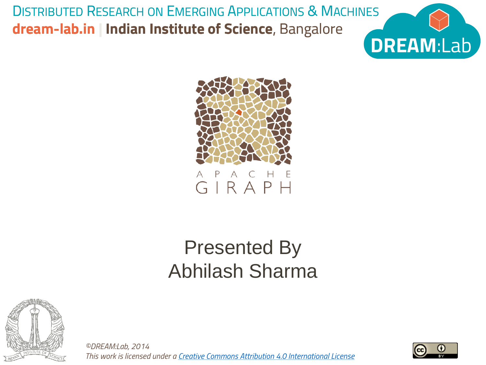DISTRIBUTED RESEARCH ON EMERGING APPLICATIONS & MACHINES **dream-lab.in | Indian Institute of Science**, Bangalore





### Presented By Abhilash Sharma



*©DREAM:Lab, 2014 This work is licensed under a [Creative Commons Attribution 4.0 International License](http://creativecommons.org/licenses/by/4.0/deed.en_US)*

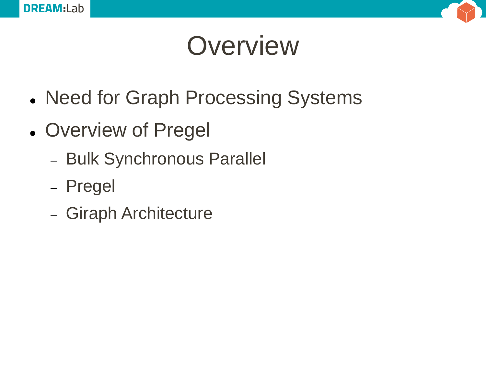



## **Overview**

- Need for Graph Processing Systems
- Overview of Pregel
	- Bulk Synchronous Parallel
	- Pregel
	- Giraph Architecture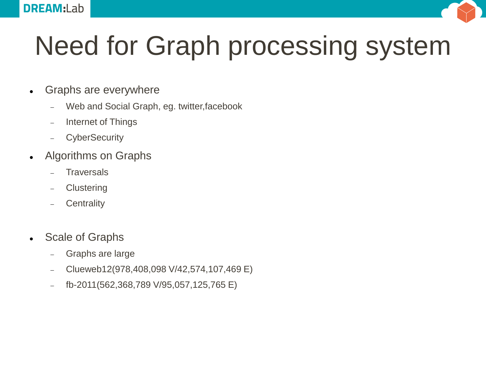

# Need for Graph processing system

- Graphs are everywhere
	- Web and Social Graph, eg. twitter,facebook
	- Internet of Things
	- CyberSecurity
- Algorithms on Graphs
	- **Traversals**
	- **Clustering**
	- **Centrality**
- Scale of Graphs
	- Graphs are large
	- Clueweb12(978,408,098 V/42,574,107,469 E)
	- fb-2011(562,368,789 V/95,057,125,765 E)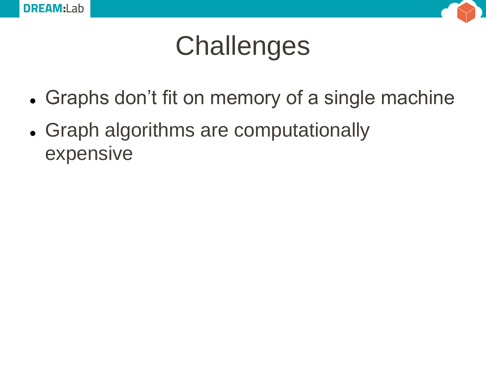



# **Challenges**

- Graphs don't fit on memory of a single machine
- Graph algorithms are computationally expensive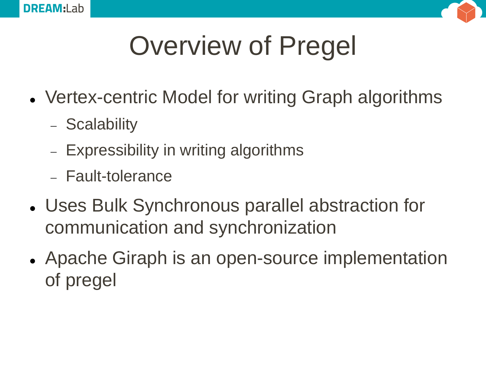



# Overview of Pregel

- Vertex-centric Model for writing Graph algorithms
	- Scalability
	- Expressibility in writing algorithms
	- Fault-tolerance
- Uses Bulk Synchronous parallel abstraction for communication and synchronization
- Apache Giraph is an open-source implementation of pregel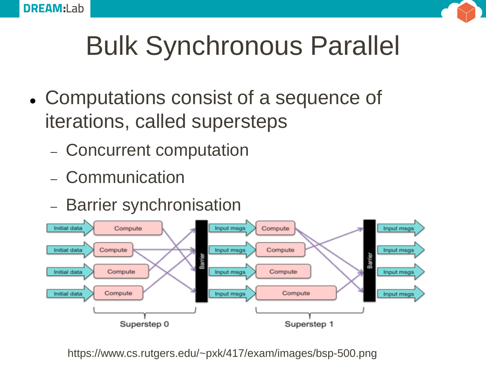



# Bulk Synchronous Parallel

- Computations consist of a sequence of iterations, called supersteps
	- Concurrent computation
	- Communication
	- Barrier synchronisation



https://www.cs.rutgers.edu/~pxk/417/exam/images/bsp-500.png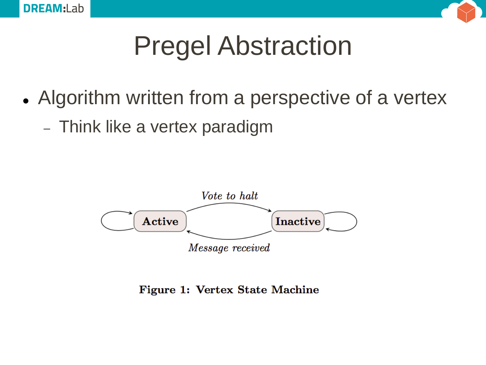



# Pregel Abstraction

- Algorithm written from a perspective of a vertex
	- Think like a vertex paradigm



#### **Figure 1: Vertex State Machine**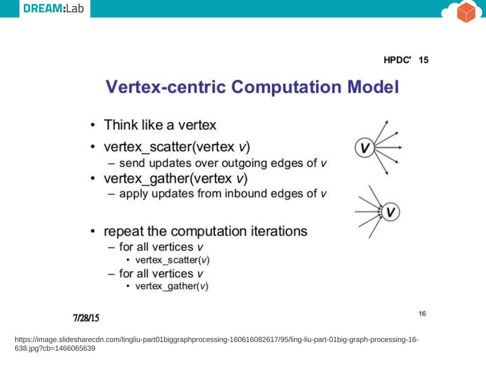

#### **HPDC'** 15

### **Vertex-centric Computation Model**

- Think like a vertex
- vertex scatter(vertex  $v$ )
	- $-$  send updates over outgoing edges of  $v$
- vertex gather (vertex  $v$ )
	- $-$  apply updates from inbound edges of  $v$
- repeat the computation iterations
	- $-$  for all vertices  $v$ 
		- vertex scatter( $v$ )
	- $-$  for all vertices  $v$ 
		- vertex gather( $v$ )

#### 7/28/15

https://image.slidesharecdn.com/lingliu-part01biggraphprocessing-160616082617/95/ling-liu-part-01big-graph-processing-16- 638.jpg?cb=1466065639



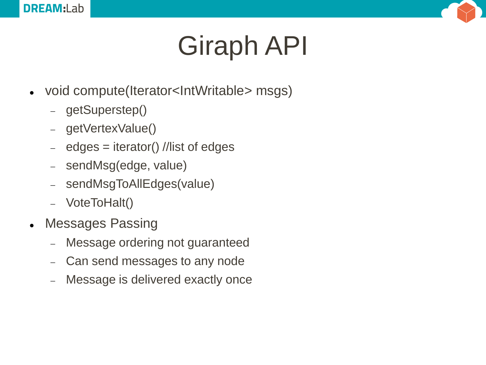

# Giraph API

- void compute(Iterator<IntWritable> msgs)
	- getSuperstep()
	- getVertexValue()
	- $-$  edges  $=$  iterator() //list of edges
	- sendMsg(edge, value)
	- sendMsgToAllEdges(value)
	- VoteToHalt()
- Messages Passing
	- Message ordering not guaranteed
	- Can send messages to any node
	- Message is delivered exactly once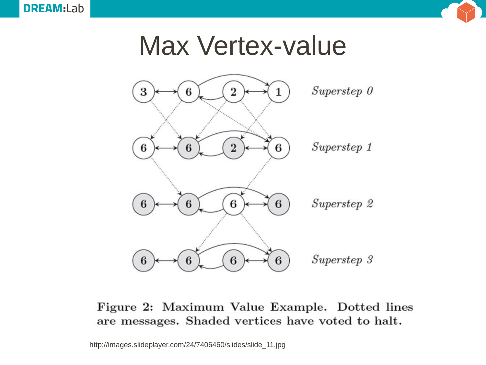

### Max Vertex-value



#### Figure 2: Maximum Value Example. Dotted lines are messages. Shaded vertices have voted to halt.

http://images.slideplayer.com/24/7406460/slides/slide\_11.jpg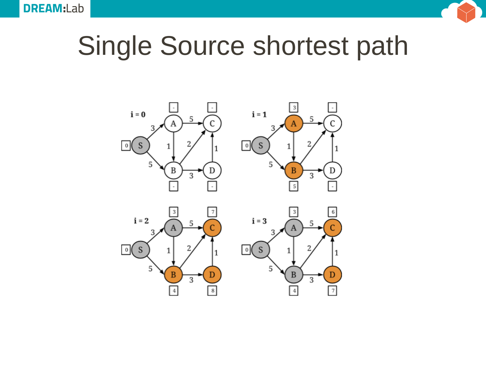

# Single Source shortest path

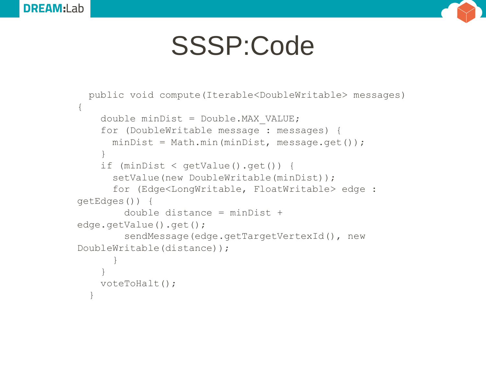



### SSSP:Code

```
public void compute(Iterable<DoubleWritable> messages) 
{
    double minDist = Double.MAX_VALUE;
    for (DoubleWritable message : messages) {
      minDist = Math.min(minDist, message.get());
    }
    if (minDist < getValue().get()) {
      setValue(new DoubleWritable(minDist));
      for (Edge<LongWritable, FloatWritable> edge : 
getEdges()) {
        double distance = minDist + 
edge.getValue().get();
        sendMessage(edge.getTargetVertexId(), new
DoubleWritable(distance));
      }
    }
    voteToHalt();
  }
```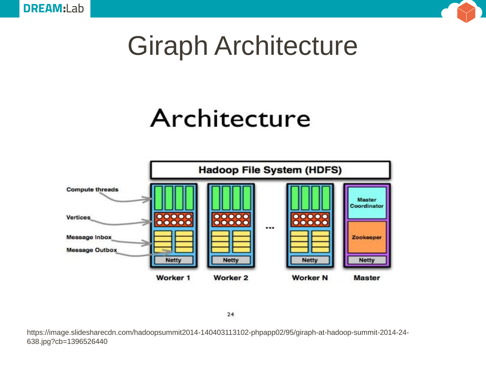

## Giraph Architecture

### Architecture



 $24$ 

https://image.slidesharecdn.com/hadoopsummit2014-140403113102-phpapp02/95/giraph-at-hadoop-summit-2014-24- 638.jpg?cb=1396526440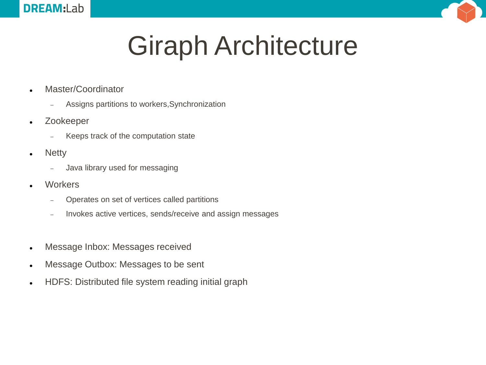

# Giraph Architecture

- Master/Coordinator
	- Assigns partitions to workers,Synchronization
- Zookeeper
	- Keeps track of the computation state
- Netty
	- Java library used for messaging
- **Workers** 
	- Operates on set of vertices called partitions
	- Invokes active vertices, sends/receive and assign messages
- Message Inbox: Messages received
- Message Outbox: Messages to be sent
- HDFS: Distributed file system reading initial graph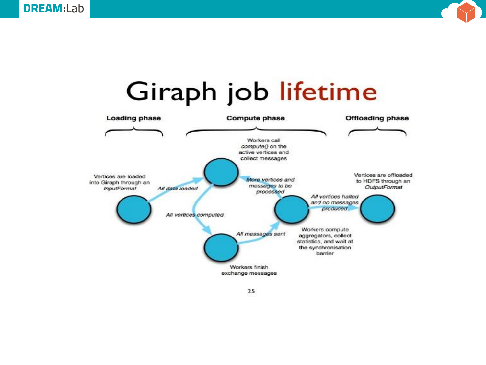



### Giraph job lifetime

25